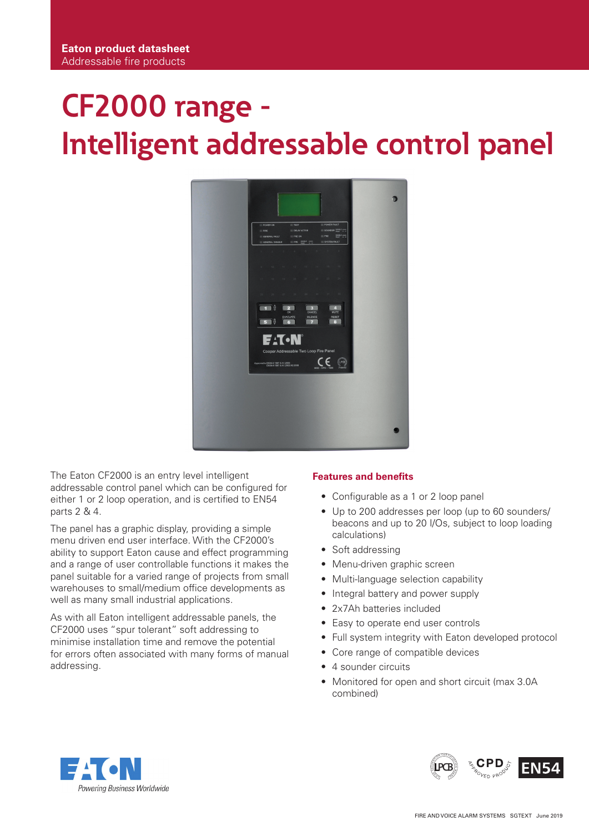# **CF2000 range - Intelligent addressable control panel**



The Eaton CF2000 is an entry level intelligent addressable control panel which can be configured for either 1 or 2 loop operation, and is certified to EN54 parts 2 & 4.

The panel has a graphic display, providing a simple menu driven end user interface. With the CF2000's ability to support Eaton cause and effect programming and a range of user controllable functions it makes the panel suitable for a varied range of projects from small warehouses to small/medium office developments as well as many small industrial applications.

As with all Eaton intelligent addressable panels, the CF2000 uses "spur tolerant" soft addressing to minimise installation time and remove the potential for errors often associated with many forms of manual addressing.

## **Features and benefits**

- Configurable as a 1 or 2 loop panel
- Up to 200 addresses per loop (up to 60 sounders/ beacons and up to 20 I/Os, subject to loop loading calculations)
- Soft addressing
- Menu-driven graphic screen
- Multi-language selection capability
- Integral battery and power supply
- 2x7Ah batteries included
- Easy to operate end user controls
- Full system integrity with Eaton developed protocol
- Core range of compatible devices
- 4 sounder circuits
- Monitored for open and short circuit (max 3.0A combined)